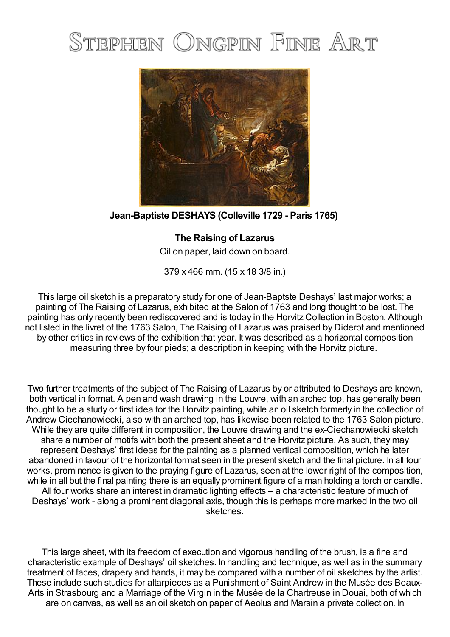# STEPHEN ONGPIN FINE ART



## **Jean-Baptiste DESHAYS (Colleville 1729 - Paris 1765)**

### **The Raising of Lazarus**

Oil on paper, laid down on board.

379 x 466 mm. (15 x 18 3/8 in.)

This large oil sketch is a preparatory study for one of Jean-Baptste Deshays' last major works; a painting of The Raising of Lazarus, exhibited at the Salon of 1763 and long thought to be lost. The painting has only recently been rediscovered and is today in the Horvitz Collection in Boston. Although not listed in the livret of the 1763 Salon, The Raising of Lazarus was praised by Diderot and mentioned by other critics in reviews of the exhibition that year. It was described as a horizontal composition measuring three by four pieds; a description in keeping with the Horvitz picture.

Two further treatments of the subject of The Raising of Lazarus by or attributed to Deshays are known, both vertical in format. A pen and wash drawing in the Louvre, with an arched top, has generally been thought to be a study or first idea for the Horvitz painting, while an oil sketch formerly in the collection of Andrew Ciechanowiecki, also with an arched top, has likewise been related to the 1763 Salon picture. While they are quite different in composition, the Louvre drawing and the ex-Ciechanowiecki sketch share a number of motifs with both the present sheet and the Horvitz picture. As such, they may represent Deshays' first ideas for the painting as a planned vertical composition, which he later abandoned in favour of the horizontal format seen in the present sketch and the final picture. In all four works, prominence is given to the praying figure of Lazarus, seen at the lower right of the composition, while in all but the final painting there is an equally prominent figure of a man holding a torch or candle. All four works share an interest in dramatic lighting effects – a characteristic feature of much of Deshays' work - along a prominent diagonal axis, though this is perhaps more marked in the two oil sketches.

This large sheet, with its freedom of execution and vigorous handling of the brush, is a fine and characteristic example of Deshays' oil sketches. In handling and technique, as well as in the summary treatment of faces, drapery and hands, it may be compared with a number of oil sketches by the artist. These include such studies for altarpieces as a Punishment of Saint Andrew in the Musée des Beaux-Arts in Strasbourg and a Marriage of the Virgin in the Musée de la Chartreuse in Douai, both of which are on canvas, as well as an oil sketch on paper of Aeolus and Marsin a private collection. In